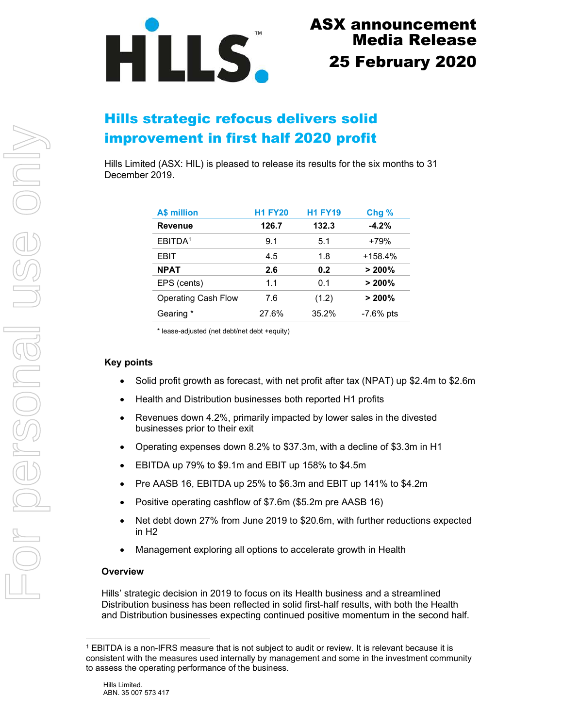

# Hills strategic refocus delivers solid improvement in first half 2020 profit

Hills Limited (ASX: HIL) is pleased to release its results for the six months to 31 December 2019.

| <b>A\$ million</b>         | <b>H1 FY20</b> | <b>H1 FY19</b> | Chg%        |
|----------------------------|----------------|----------------|-------------|
| <b>Revenue</b>             | 126.7          | 132.3          | $-4.2%$     |
| EBITDA <sup>1</sup>        | 9.1            | 5.1            | $+79%$      |
| EBIT                       | 4.5            | 1.8            | $+158.4%$   |
| <b>NPAT</b>                | 2.6            | 0.2            | > 200%      |
| EPS (cents)                | 1.1            | 0 1            | $> 200\%$   |
| <b>Operating Cash Flow</b> | 7.6            | (1.2)          | $> 200\%$   |
| Gearing *                  | 27.6%          | 35.2%          | $-7.6%$ pts |

\* lease-adjusted (net debt/net debt +equity)

### Key points

- Solid profit growth as forecast, with net profit after tax (NPAT) up \$2.4m to \$2.6m
- Health and Distribution businesses both reported H1 profits
- Revenues down 4.2%, primarily impacted by lower sales in the divested businesses prior to their exit
- Operating expenses down 8.2% to \$37.3m, with a decline of \$3.3m in H1
- EBITDA up 79% to \$9.1m and EBIT up 158% to \$4.5m
- Pre AASB 16, EBITDA up 25% to \$6.3m and EBIT up 141% to \$4.2m
- Positive operating cashflow of \$7.6m (\$5.2m pre AASB 16)
- Net debt down 27% from June 2019 to \$20.6m, with further reductions expected in H2
- Management exploring all options to accelerate growth in Health

#### **Overview**

Hills' strategic decision in 2019 to focus on its Health business and a streamlined Distribution business has been reflected in solid first-half results, with both the Health and Distribution businesses expecting continued positive momentum in the second half.

<sup>1</sup> EBITDA is a non-IFRS measure that is not subject to audit or review. It is relevant because it is consistent with the measures used internally by management and some in the investment community to assess the operating performance of the business.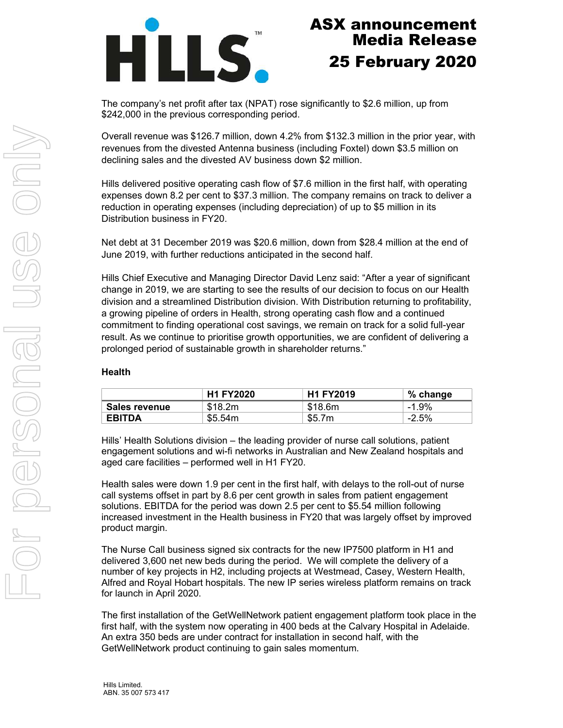

The company's net profit after tax (NPAT) rose significantly to \$2.6 million, up from \$242,000 in the previous corresponding period.

Overall revenue was \$126.7 million, down 4.2% from \$132.3 million in the prior year, with revenues from the divested Antenna business (including Foxtel) down \$3.5 million on declining sales and the divested AV business down \$2 million.

Hills delivered positive operating cash flow of \$7.6 million in the first half, with operating expenses down 8.2 per cent to \$37.3 million. The company remains on track to deliver a reduction in operating expenses (including depreciation) of up to \$5 million in its Distribution business in FY20.

Net debt at 31 December 2019 was \$20.6 million, down from \$28.4 million at the end of June 2019, with further reductions anticipated in the second half.

Hills Chief Executive and Managing Director David Lenz said: "After a year of significant change in 2019, we are starting to see the results of our decision to focus on our Health division and a streamlined Distribution division. With Distribution returning to profitability, a growing pipeline of orders in Health, strong operating cash flow and a continued commitment to finding operational cost savings, we remain on track for a solid full-year result. As we continue to prioritise growth opportunities, we are confident of delivering a prolonged period of sustainable growth in shareholder returns."

#### Health

|               | <b>H1 FY2020</b> | <b>H1 FY2019</b> | % change |
|---------------|------------------|------------------|----------|
| Sales revenue | \$18.2m          | \$18.6m          | $-1.9\%$ |
| <b>EBITDA</b> | \$5.54m          | \$5.7m           | $-2.5%$  |

Hills' Health Solutions division – the leading provider of nurse call solutions, patient engagement solutions and wi-fi networks in Australian and New Zealand hospitals and aged care facilities – performed well in H1 FY20.

Health sales were down 1.9 per cent in the first half, with delays to the roll-out of nurse call systems offset in part by 8.6 per cent growth in sales from patient engagement solutions. EBITDA for the period was down 2.5 per cent to \$5.54 million following increased investment in the Health business in FY20 that was largely offset by improved product margin.

The Nurse Call business signed six contracts for the new IP7500 platform in H1 and delivered 3,600 net new beds during the period. We will complete the delivery of a number of key projects in H2, including projects at Westmead, Casey, Western Health, Alfred and Royal Hobart hospitals. The new IP series wireless platform remains on track for launch in April 2020.

The first installation of the GetWellNetwork patient engagement platform took place in the first half, with the system now operating in 400 beds at the Calvary Hospital in Adelaide. An extra 350 beds are under contract for installation in second half, with the GetWellNetwork product continuing to gain sales momentum.

Hills Limited. ABN. 35 007 573 417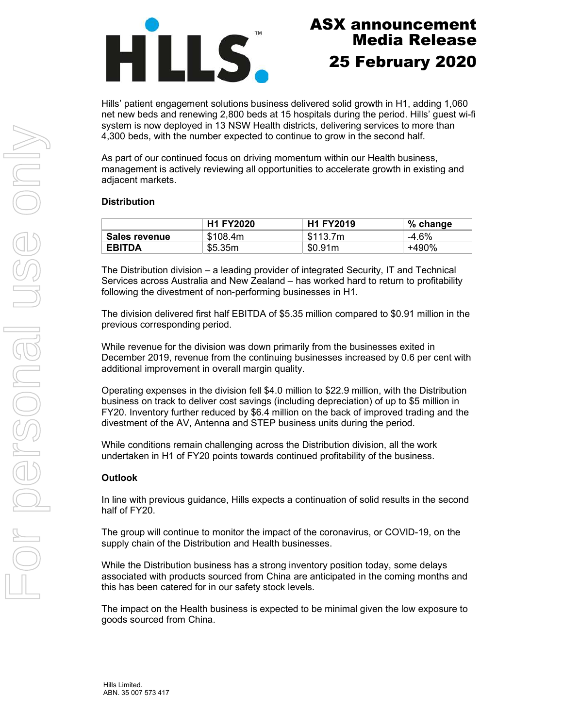

Hills' patient engagement solutions business delivered solid growth in H1, adding 1,060 net new beds and renewing 2,800 beds at 15 hospitals during the period. Hills' guest wi-fi system is now deployed in 13 NSW Health districts, delivering services to more than 4,300 beds, with the number expected to continue to grow in the second half.

As part of our continued focus on driving momentum within our Health business, management is actively reviewing all opportunities to accelerate growth in existing and adjacent markets.

### **Distribution**

|               | <b>H1 FY2020</b> | <b>H1 FY2019</b> | % change |
|---------------|------------------|------------------|----------|
| Sales revenue | \$108.4m         | \$113.7m         | $-4.6%$  |
| <b>EBITDA</b> | \$5.35m          | \$0.91m          | +490%    |

The Distribution division – a leading provider of integrated Security, IT and Technical Services across Australia and New Zealand – has worked hard to return to profitability following the divestment of non-performing businesses in H1.

The division delivered first half EBITDA of \$5.35 million compared to \$0.91 million in the previous corresponding period.

While revenue for the division was down primarily from the businesses exited in December 2019, revenue from the continuing businesses increased by 0.6 per cent with additional improvement in overall margin quality.

Operating expenses in the division fell \$4.0 million to \$22.9 million, with the Distribution business on track to deliver cost savings (including depreciation) of up to \$5 million in FY20. Inventory further reduced by \$6.4 million on the back of improved trading and the divestment of the AV, Antenna and STEP business units during the period.

While conditions remain challenging across the Distribution division, all the work undertaken in H1 of FY20 points towards continued profitability of the business.

### **Outlook**

In line with previous guidance, Hills expects a continuation of solid results in the second half of FY20.

The group will continue to monitor the impact of the coronavirus, or COVID-19, on the supply chain of the Distribution and Health businesses.

While the Distribution business has a strong inventory position today, some delays associated with products sourced from China are anticipated in the coming months and this has been catered for in our safety stock levels.

The impact on the Health business is expected to be minimal given the low exposure to goods sourced from China.